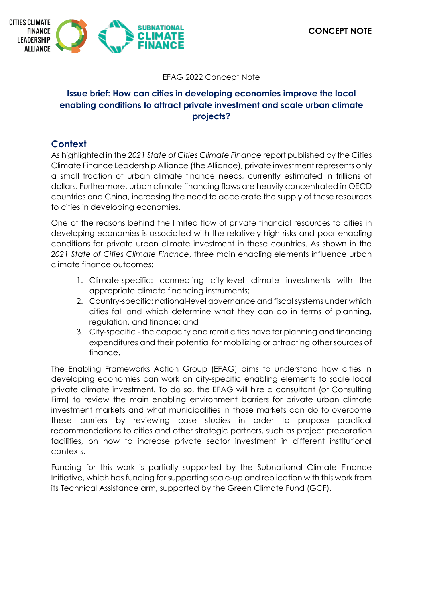

### EFAG 2022 Concept Note

# **Issue brief: How can cities in developing economies improve the local enabling conditions to attract private investment and scale urban climate projects?**

## **Context**

As highlighted in the *2021 State of Cities Climate Finance* report published by the Cities Climate Finance Leadership Alliance (the Alliance), private investment represents only a small fraction of urban climate finance needs, currently estimated in trillions of dollars. Furthermore, urban climate financing flows are heavily concentrated in OECD countries and China, increasing the need to accelerate the supply of these resources to cities in developing economies.

One of the reasons behind the limited flow of private financial resources to cities in developing economies is associated with the relatively high risks and poor enabling conditions for private urban climate investment in these countries. As shown in the *2021 State of Cities Climate Finance*, three main enabling elements influence urban climate finance outcomes:

- 1. Climate-specific: connecting city-level climate investments with the appropriate climate financing instruments;
- 2. Country-specific: national-level governance and fiscal systems under which cities fall and which determine what they can do in terms of planning, regulation, and finance; and
- 3. City-specific the capacity and remit cities have for planning and financing expenditures and their potential for mobilizing or attracting other sources of finance.

The Enabling Frameworks Action Group (EFAG) aims to understand how cities in developing economies can work on city-specific enabling elements to scale local private climate investment. To do so, the EFAG will hire a consultant (or Consulting Firm) to review the main enabling environment barriers for private urban climate investment markets and what municipalities in those markets can do to overcome these barriers by reviewing case studies in order to propose practical recommendations to cities and other strategic partners, such as project preparation facilities, on how to increase private sector investment in different institutional contexts.

Funding for this work is partially supported by the Subnational Climate Finance Initiative, which has funding for supporting scale-up and replication with this work from its Technical Assistance arm, supported by the Green Climate Fund (GCF).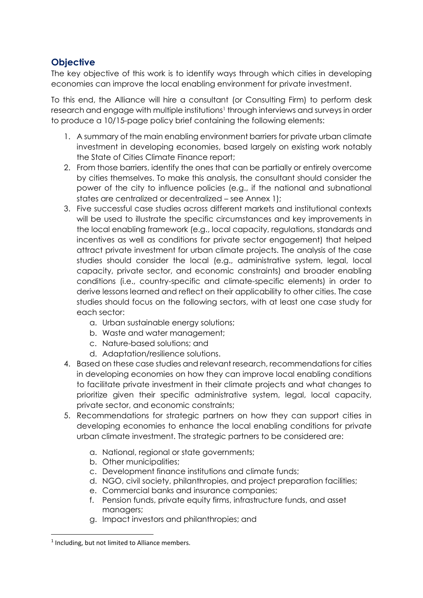# **Objective**

The key objective of this work is to identify ways through which cities in developing economies can improve the local enabling environment for private investment.

To this end, the Alliance will hire a consultant (or Consulting Firm) to perform desk research and engage with multiple institutions<sup>1</sup> through interviews and surveys in order to produce a 10/15-page policy brief containing the following elements:

- 1. A summary of the main enabling environment barriers for private urban climate investment in developing economies, based largely on existing work notably the State of Cities Climate Finance report;
- 2. From those barriers, identify the ones that can be partially or entirely overcome by cities themselves. To make this analysis, the consultant should consider the power of the city to influence policies (e.g., if the national and subnational states are centralized or decentralized – see Annex 1);
- 3. Five successful case studies across different markets and institutional contexts will be used to illustrate the specific circumstances and key improvements in the local enabling framework (e.g., local capacity, regulations, standards and incentives as well as conditions for private sector engagement) that helped attract private investment for urban climate projects. The analysis of the case studies should consider the local (e.g., administrative system, legal, local capacity, private sector, and economic constraints) and broader enabling conditions (i.e., country-specific and climate-specific elements) in order to derive lessons learned and reflect on their applicability to other cities. The case studies should focus on the following sectors, with at least one case study for each sector:
	- a. Urban sustainable energy solutions;
	- b. Waste and water management;
	- c. Nature-based solutions; and
	- d. Adaptation/resilience solutions.
- 4. Based on these case studies and relevant research, recommendations for cities in developing economies on how they can improve local enabling conditions to facilitate private investment in their climate projects and what changes to prioritize given their specific administrative system, legal, local capacity, private sector, and economic constraints;
- 5. Recommendations for strategic partners on how they can support cities in developing economies to enhance the local enabling conditions for private urban climate investment. The strategic partners to be considered are:
	- a. National, regional or state governments;
	- b. Other municipalities;
	- c. Development finance institutions and climate funds;
	- d. NGO, civil society, philanthropies, and project preparation facilities;
	- e. Commercial banks and insurance companies;
	- f. Pension funds, private equity firms, infrastructure funds, and asset managers;
	- g. Impact investors and philanthropies; and

**.** 

<sup>&</sup>lt;sup>1</sup> Including, but not limited to Alliance members.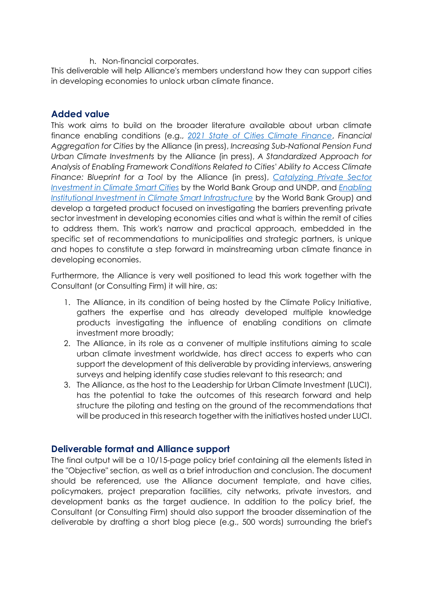h. Non-financial corporates.

This deliverable will help Alliance's members understand how they can support cities in developing economies to unlock urban climate finance.

### **Added value**

This work aims to build on the broader literature available about urban climate finance enabling conditions (e.g., *[2021 State of Cities Climate Finance](https://citiesclimatefinance.org/publications/2021-state-of-cities-climate-finance/)*, *Financial Aggregation for Cities* by the Alliance (in press), *Increasing Sub-National Pension Fund Urban Climate Investments* by the Alliance (in press), *A Standardized Approach for Analysis of Enabling Framework Conditions Related to Cities' Ability to Access Climate Finance: Blueprint for a Tool* by the Alliance (in press), *[Catalyzing Private Sector](https://www.undp.org/publications/catalyzing-private-sector-investment-climate-smart-cities)  [Investment in Climate Smart Cities](https://www.undp.org/publications/catalyzing-private-sector-investment-climate-smart-cities)* by the World Bank Group and UNDP, and *[Enabling](https://openknowledge.worldbank.org/handle/10986/34327)  [Institutional Investment in Climate Smart Infrastructure](https://openknowledge.worldbank.org/handle/10986/34327)* by the World Bank Group) and develop a targeted product focused on investigating the barriers preventing private sector investment in developing economies cities and what is within the remit of cities to address them. This work's narrow and practical approach, embedded in the specific set of recommendations to municipalities and strategic partners, is unique and hopes to constitute a step forward in mainstreaming urban climate finance in developing economies.

Furthermore, the Alliance is very well positioned to lead this work together with the Consultant (or Consulting Firm) it will hire, as:

- 1. The Alliance, in its condition of being hosted by the Climate Policy Initiative, gathers the expertise and has already developed multiple knowledge products investigating the influence of enabling conditions on climate investment more broadly;
- 2. The Alliance, in its role as a convener of multiple institutions aiming to scale urban climate investment worldwide, has direct access to experts who can support the development of this deliverable by providing interviews, answering surveys and helping identify case studies relevant to this research; and
- 3. The Alliance, as the host to the Leadership for Urban Climate Investment (LUCI), has the potential to take the outcomes of this research forward and help structure the piloting and testing on the ground of the recommendations that will be produced in this research together with the initiatives hosted under LUCI.

## **Deliverable format and Alliance support**

The final output will be a 10/15-page policy brief containing all the elements listed in the "Objective" section, as well as a brief introduction and conclusion. The document should be referenced, use the Alliance document template, and have cities, policymakers, project preparation facilities, city networks, private investors, and development banks as the target audience. In addition to the policy brief, the Consultant (or Consulting Firm) should also support the broader dissemination of the deliverable by drafting a short blog piece (e.g., 500 words) surrounding the brief's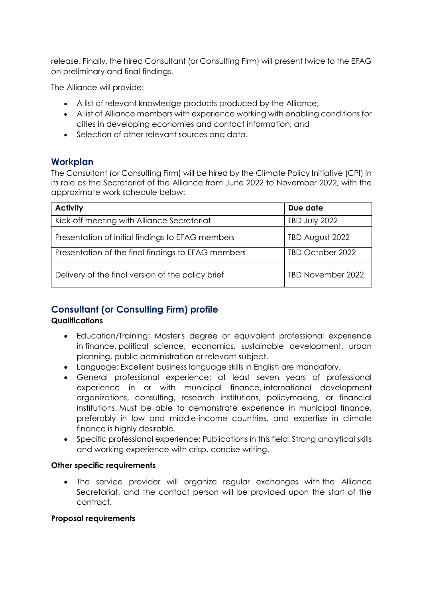release. Finally, the hired Consultant (or Consulting Firm) will present twice to the EFAG on preliminary and final findings.

The Alliance will provide:

- A list of relevant knowledge products produced by the Alliance;
- A list of Alliance members with experience working with enabling conditions for cities in developing economies and contact information; and
- Selection of other relevant sources and data.

# **Workplan**

The Consultant (or Consulting Firm) will be hired by the Climate Policy Initiative (CPI) in its role as the Secretariat of the Alliance from June 2022 to November 2022, with the approximate work schedule below:

| <b>Activity</b>                                    | Due date             |
|----------------------------------------------------|----------------------|
| Kick-off meeting with Alliance Secretariat         | <b>TBD July 2022</b> |
| Presentation of initial findings to EFAG members   | TBD August 2022      |
| Presentation of the final findings to EFAG members | TBD October 2022     |
| Delivery of the final version of the policy brief  | TBD November 2022    |

# **Consultant (or Consulting Firm) profile**

### **Qualifications**

- Education/Training: Master's degree or equivalent professional experience in finance, political science, economics, sustainable development, urban planning, public administration or relevant subject.
- Language: Excellent business language skills in English are mandatory.
- General professional experience: at least seven years of professional experience in or with municipal finance, international development organizations, consulting, research institutions, policymaking, or financial institutions. Must be able to demonstrate experience in municipal finance, preferably in low and middle-income countries, and expertise in climate finance is highly desirable.
- Specific professional experience: Publications in this field. Strong analytical skills and working experience with crisp, concise writing.

### **Other specific requirements**

 The service provider will organize regular exchanges with the Alliance Secretariat, and the contact person will be provided upon the start of the contract.

### **Proposal requirements**